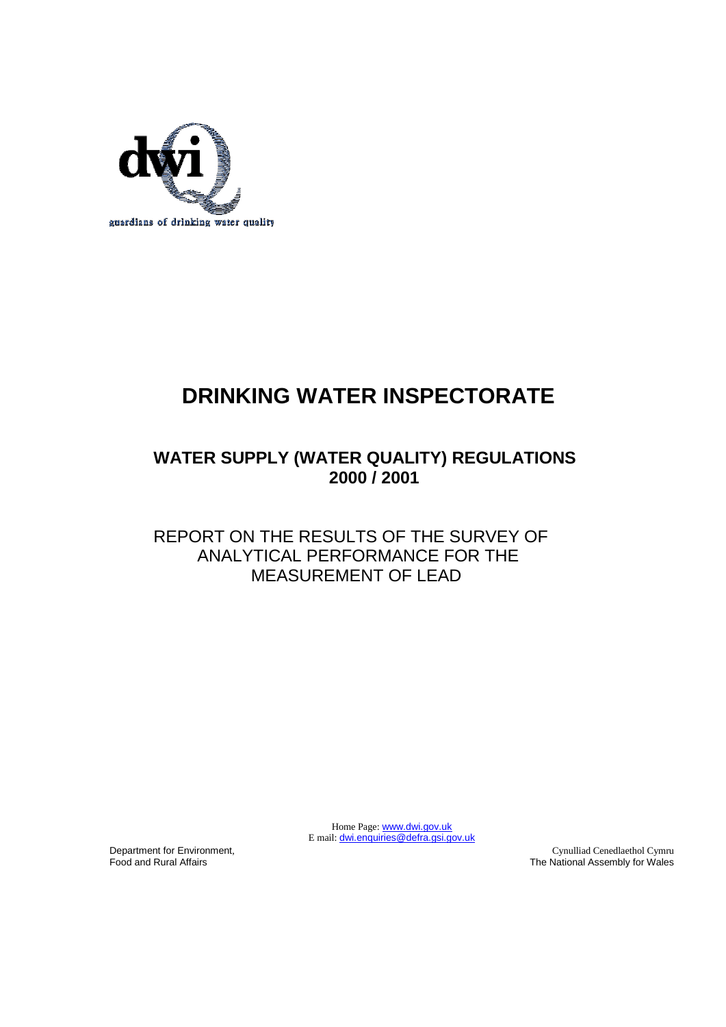

# **DRINKING WATER INSPECTORATE**

# **WATER SUPPLY (WATER QUALITY) REGULATIONS 2000 / 2001**

### REPORT ON THE RESULTS OF THE SURVEY OF ANALYTICAL PERFORMANCE FOR THE MEASUREMENT OF LEAD

Home Page: [www.dwi.gov.uk](http://www.dwi.detr.gov.uk/) E mail: **[dwi.enquiries@defra.gsi.gov.uk](mailto:dwi.enquiries@defra.gsi.gov.uk)** 

Department for Environment, Food and Rural Affairs

Cynulliad Cenedlaethol Cymru The National Assembly for Wales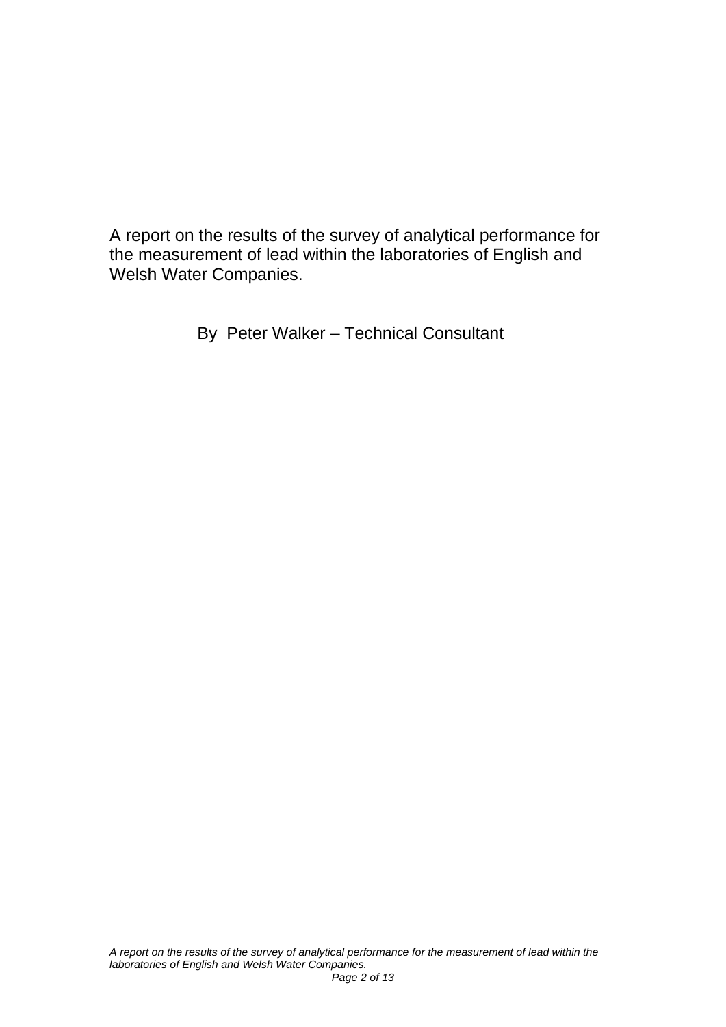A report on the results of the survey of analytical performance for the measurement of lead within the laboratories of English and Welsh Water Companies.

By Peter Walker – Technical Consultant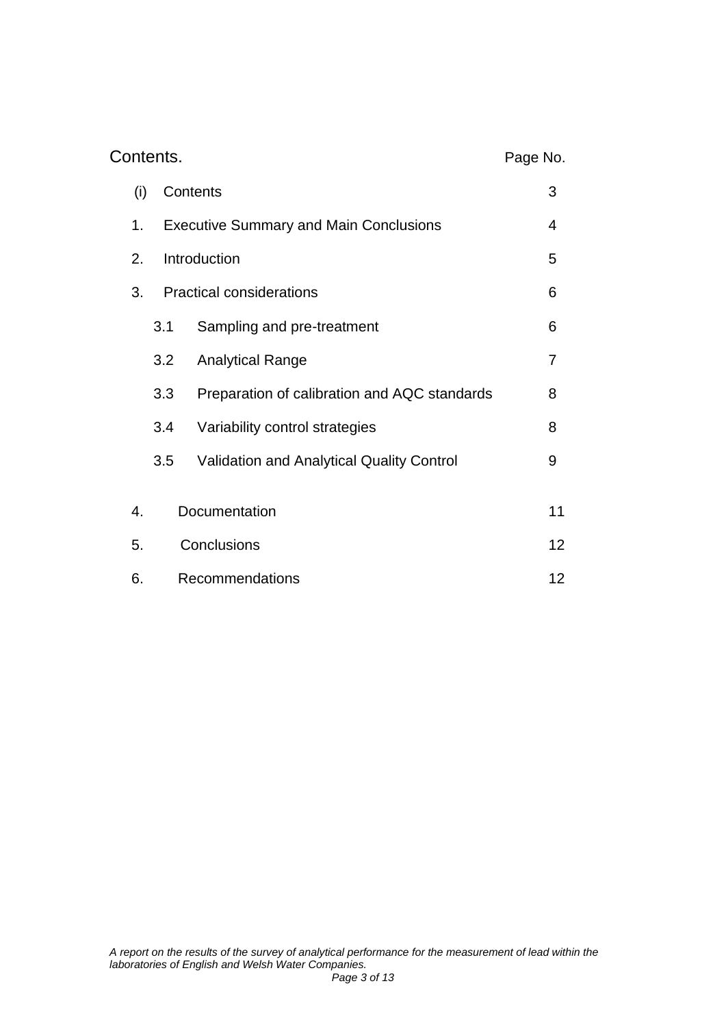| Contents.          |                                                     |                     |                                                  | Page No. |
|--------------------|-----------------------------------------------------|---------------------|--------------------------------------------------|----------|
|                    | (i)                                                 | Contents            |                                                  | 3        |
|                    | <b>Executive Summary and Main Conclusions</b><br>1. |                     | 4                                                |          |
| Introduction<br>2. |                                                     |                     |                                                  | 5        |
|                    | 3.                                                  |                     | <b>Practical considerations</b>                  |          |
|                    |                                                     | 3.1                 | Sampling and pre-treatment                       | 6        |
|                    |                                                     | 3.2                 | <b>Analytical Range</b>                          | 7        |
|                    |                                                     | 3.3                 | Preparation of calibration and AQC standards     | 8        |
|                    |                                                     | 3.4                 | Variability control strategies                   | 8        |
|                    |                                                     | 3.5                 | <b>Validation and Analytical Quality Control</b> | 9        |
|                    |                                                     |                     |                                                  | 11       |
|                    |                                                     | Documentation<br>4. |                                                  |          |
|                    | Conclusions<br>5.                                   |                     | 12                                               |          |
|                    | 6.                                                  |                     | Recommendations                                  | 12       |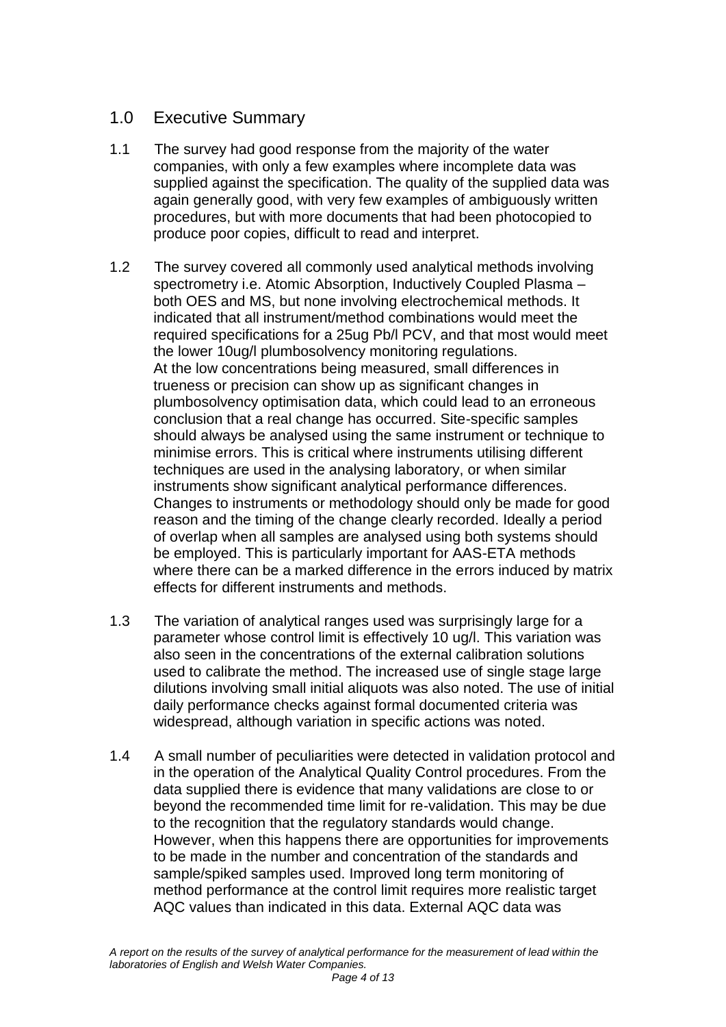### 1.0 Executive Summary

- 1.1 The survey had good response from the majority of the water companies, with only a few examples where incomplete data was supplied against the specification. The quality of the supplied data was again generally good, with very few examples of ambiguously written procedures, but with more documents that had been photocopied to produce poor copies, difficult to read and interpret.
- 1.2 The survey covered all commonly used analytical methods involving spectrometry i.e. Atomic Absorption, Inductively Coupled Plasma – both OES and MS, but none involving electrochemical methods. It indicated that all instrument/method combinations would meet the required specifications for a 25ug Pb/l PCV, and that most would meet the lower 10ug/l plumbosolvency monitoring regulations. At the low concentrations being measured, small differences in trueness or precision can show up as significant changes in plumbosolvency optimisation data, which could lead to an erroneous conclusion that a real change has occurred. Site-specific samples should always be analysed using the same instrument or technique to minimise errors. This is critical where instruments utilising different techniques are used in the analysing laboratory, or when similar instruments show significant analytical performance differences. Changes to instruments or methodology should only be made for good reason and the timing of the change clearly recorded. Ideally a period of overlap when all samples are analysed using both systems should be employed. This is particularly important for AAS-ETA methods where there can be a marked difference in the errors induced by matrix effects for different instruments and methods.
- 1.3 The variation of analytical ranges used was surprisingly large for a parameter whose control limit is effectively 10 ug/l. This variation was also seen in the concentrations of the external calibration solutions used to calibrate the method. The increased use of single stage large dilutions involving small initial aliquots was also noted. The use of initial daily performance checks against formal documented criteria was widespread, although variation in specific actions was noted.
- 1.4 A small number of peculiarities were detected in validation protocol and in the operation of the Analytical Quality Control procedures. From the data supplied there is evidence that many validations are close to or beyond the recommended time limit for re-validation. This may be due to the recognition that the regulatory standards would change. However, when this happens there are opportunities for improvements to be made in the number and concentration of the standards and sample/spiked samples used. Improved long term monitoring of method performance at the control limit requires more realistic target AQC values than indicated in this data. External AQC data was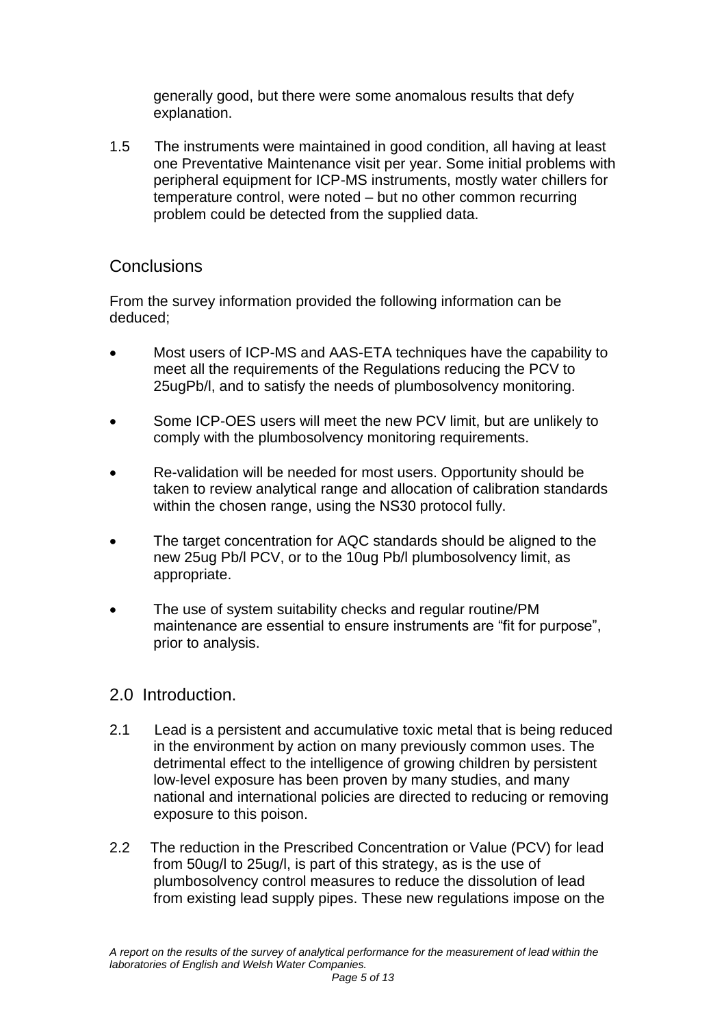generally good, but there were some anomalous results that defy explanation.

1.5 The instruments were maintained in good condition, all having at least one Preventative Maintenance visit per year. Some initial problems with peripheral equipment for ICP-MS instruments, mostly water chillers for temperature control, were noted – but no other common recurring problem could be detected from the supplied data.

### **Conclusions**

From the survey information provided the following information can be deduced;

- Most users of ICP-MS and AAS-ETA techniques have the capability to meet all the requirements of the Regulations reducing the PCV to 25ugPb/l, and to satisfy the needs of plumbosolvency monitoring.
- Some ICP-OES users will meet the new PCV limit, but are unlikely to comply with the plumbosolvency monitoring requirements.
- Re-validation will be needed for most users. Opportunity should be taken to review analytical range and allocation of calibration standards within the chosen range, using the NS30 protocol fully.
- The target concentration for AQC standards should be aligned to the new 25ug Pb/l PCV, or to the 10ug Pb/l plumbosolvency limit, as appropriate.
- The use of system suitability checks and regular routine/PM maintenance are essential to ensure instruments are "fit for purpose", prior to analysis.

#### 2.0 Introduction.

- 2.1 Lead is a persistent and accumulative toxic metal that is being reduced in the environment by action on many previously common uses. The detrimental effect to the intelligence of growing children by persistent low-level exposure has been proven by many studies, and many national and international policies are directed to reducing or removing exposure to this poison.
- 2.2 The reduction in the Prescribed Concentration or Value (PCV) for lead from 50ug/l to 25ug/l, is part of this strategy, as is the use of plumbosolvency control measures to reduce the dissolution of lead from existing lead supply pipes. These new regulations impose on the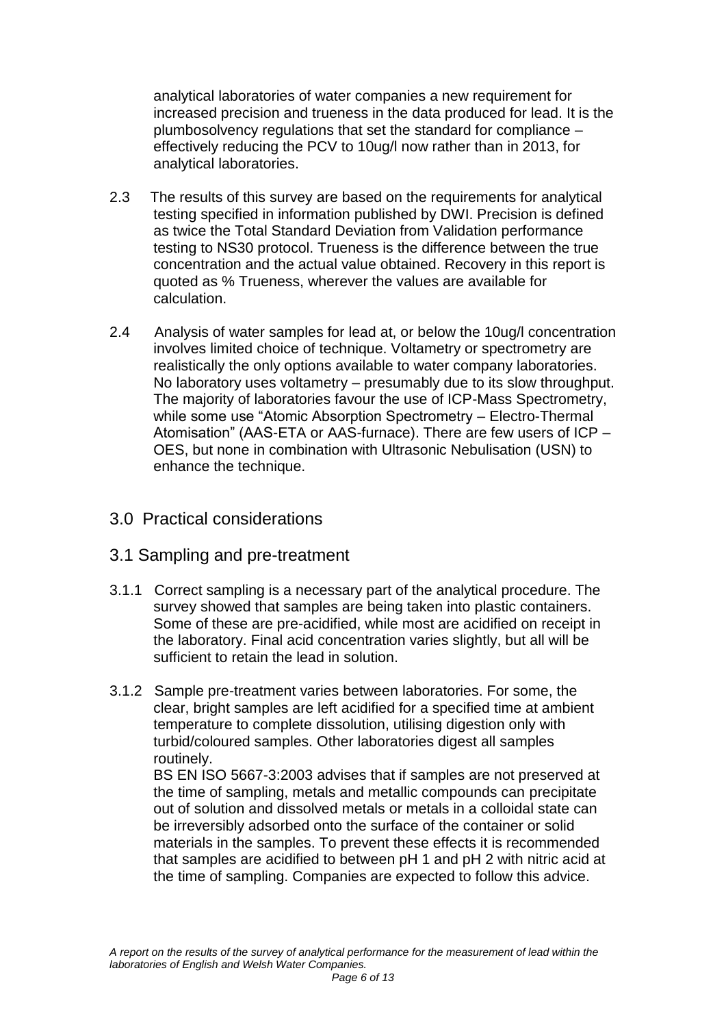analytical laboratories of water companies a new requirement for increased precision and trueness in the data produced for lead. It is the plumbosolvency regulations that set the standard for compliance – effectively reducing the PCV to 10ug/l now rather than in 2013, for analytical laboratories.

- 2.3 The results of this survey are based on the requirements for analytical testing specified in information published by DWI. Precision is defined as twice the Total Standard Deviation from Validation performance testing to NS30 protocol. Trueness is the difference between the true concentration and the actual value obtained. Recovery in this report is quoted as % Trueness, wherever the values are available for calculation.
- 2.4 Analysis of water samples for lead at, or below the 10ug/l concentration involves limited choice of technique. Voltametry or spectrometry are realistically the only options available to water company laboratories. No laboratory uses voltametry – presumably due to its slow throughput. The majority of laboratories favour the use of ICP-Mass Spectrometry, while some use "Atomic Absorption Spectrometry – Electro-Thermal Atomisation" (AAS-ETA or AAS-furnace). There are few users of ICP – OES, but none in combination with Ultrasonic Nebulisation (USN) to enhance the technique.
- 3.0 Practical considerations

#### 3.1 Sampling and pre-treatment

- 3.1.1 Correct sampling is a necessary part of the analytical procedure. The survey showed that samples are being taken into plastic containers. Some of these are pre-acidified, while most are acidified on receipt in the laboratory. Final acid concentration varies slightly, but all will be sufficient to retain the lead in solution.
- 3.1.2 Sample pre-treatment varies between laboratories. For some, the clear, bright samples are left acidified for a specified time at ambient temperature to complete dissolution, utilising digestion only with turbid/coloured samples. Other laboratories digest all samples routinely.

BS EN ISO 5667-3:2003 advises that if samples are not preserved at the time of sampling, metals and metallic compounds can precipitate out of solution and dissolved metals or metals in a colloidal state can be irreversibly adsorbed onto the surface of the container or solid materials in the samples. To prevent these effects it is recommended that samples are acidified to between pH 1 and pH 2 with nitric acid at the time of sampling. Companies are expected to follow this advice.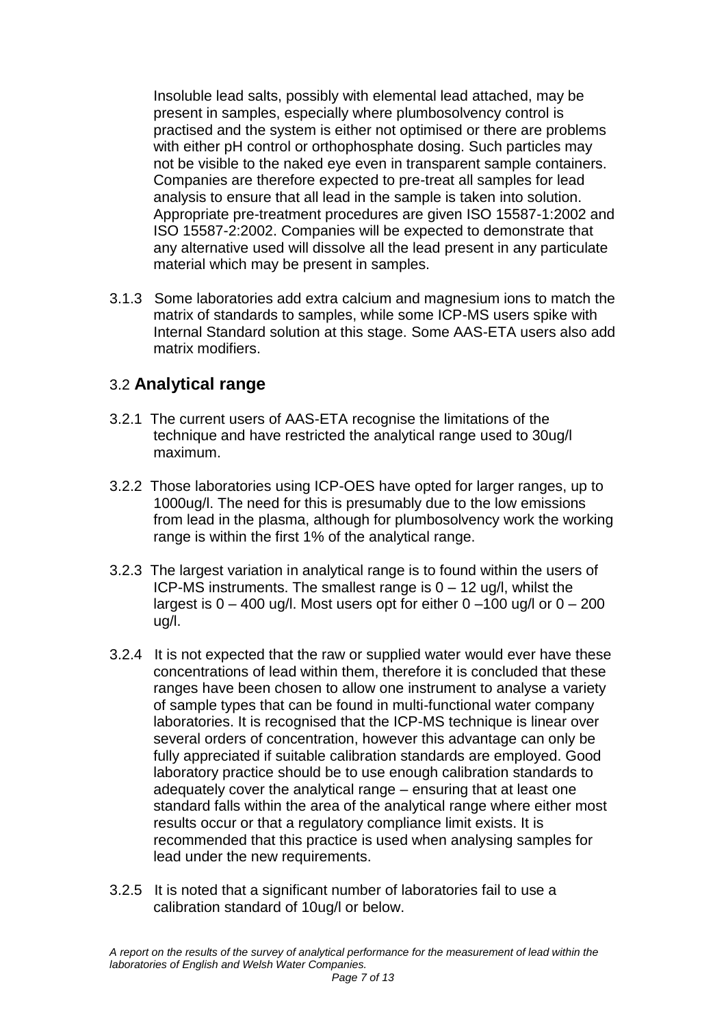Insoluble lead salts, possibly with elemental lead attached, may be present in samples, especially where plumbosolvency control is practised and the system is either not optimised or there are problems with either pH control or orthophosphate dosing. Such particles may not be visible to the naked eye even in transparent sample containers. Companies are therefore expected to pre-treat all samples for lead analysis to ensure that all lead in the sample is taken into solution. Appropriate pre-treatment procedures are given ISO 15587-1:2002 and ISO 15587-2:2002. Companies will be expected to demonstrate that any alternative used will dissolve all the lead present in any particulate material which may be present in samples.

3.1.3 Some laboratories add extra calcium and magnesium ions to match the matrix of standards to samples, while some ICP-MS users spike with Internal Standard solution at this stage. Some AAS-ETA users also add matrix modifiers.

### 3.2 **Analytical range**

- 3.2.1 The current users of AAS-ETA recognise the limitations of the technique and have restricted the analytical range used to 30ug/l maximum.
- 3.2.2 Those laboratories using ICP-OES have opted for larger ranges, up to 1000ug/l. The need for this is presumably due to the low emissions from lead in the plasma, although for plumbosolvency work the working range is within the first 1% of the analytical range.
- 3.2.3 The largest variation in analytical range is to found within the users of ICP-MS instruments. The smallest range is 0 – 12 ug/l, whilst the largest is  $0 - 400$  ug/l. Most users opt for either  $0 - 100$  ug/l or  $0 - 200$ ug/l.
- 3.2.4 It is not expected that the raw or supplied water would ever have these concentrations of lead within them, therefore it is concluded that these ranges have been chosen to allow one instrument to analyse a variety of sample types that can be found in multi-functional water company laboratories. It is recognised that the ICP-MS technique is linear over several orders of concentration, however this advantage can only be fully appreciated if suitable calibration standards are employed. Good laboratory practice should be to use enough calibration standards to adequately cover the analytical range – ensuring that at least one standard falls within the area of the analytical range where either most results occur or that a regulatory compliance limit exists. It is recommended that this practice is used when analysing samples for lead under the new requirements.
- 3.2.5 It is noted that a significant number of laboratories fail to use a calibration standard of 10ug/l or below.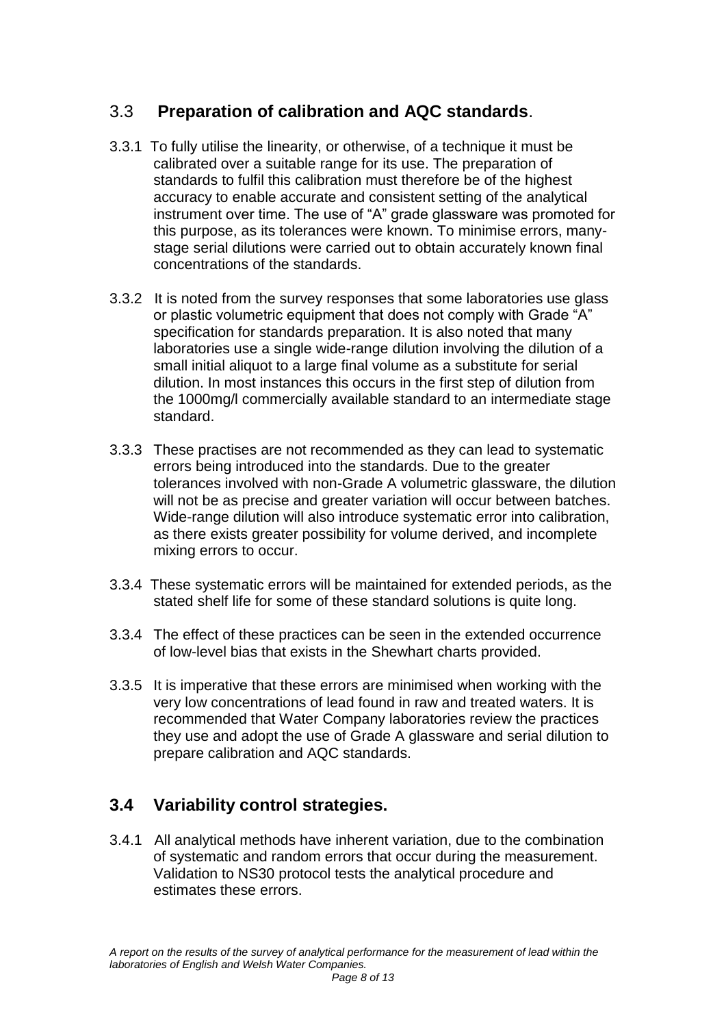### 3.3 **Preparation of calibration and AQC standards**.

- 3.3.1 To fully utilise the linearity, or otherwise, of a technique it must be calibrated over a suitable range for its use. The preparation of standards to fulfil this calibration must therefore be of the highest accuracy to enable accurate and consistent setting of the analytical instrument over time. The use of "A" grade glassware was promoted for this purpose, as its tolerances were known. To minimise errors, manystage serial dilutions were carried out to obtain accurately known final concentrations of the standards.
- 3.3.2 It is noted from the survey responses that some laboratories use glass or plastic volumetric equipment that does not comply with Grade "A" specification for standards preparation. It is also noted that many laboratories use a single wide-range dilution involving the dilution of a small initial aliquot to a large final volume as a substitute for serial dilution. In most instances this occurs in the first step of dilution from the 1000mg/l commercially available standard to an intermediate stage standard.
- 3.3.3 These practises are not recommended as they can lead to systematic errors being introduced into the standards. Due to the greater tolerances involved with non-Grade A volumetric glassware, the dilution will not be as precise and greater variation will occur between batches. Wide-range dilution will also introduce systematic error into calibration, as there exists greater possibility for volume derived, and incomplete mixing errors to occur.
- 3.3.4 These systematic errors will be maintained for extended periods, as the stated shelf life for some of these standard solutions is quite long.
- 3.3.4 The effect of these practices can be seen in the extended occurrence of low-level bias that exists in the Shewhart charts provided.
- 3.3.5 It is imperative that these errors are minimised when working with the very low concentrations of lead found in raw and treated waters. It is recommended that Water Company laboratories review the practices they use and adopt the use of Grade A glassware and serial dilution to prepare calibration and AQC standards.

## **3.4 Variability control strategies.**

3.4.1 All analytical methods have inherent variation, due to the combination of systematic and random errors that occur during the measurement. Validation to NS30 protocol tests the analytical procedure and estimates these errors.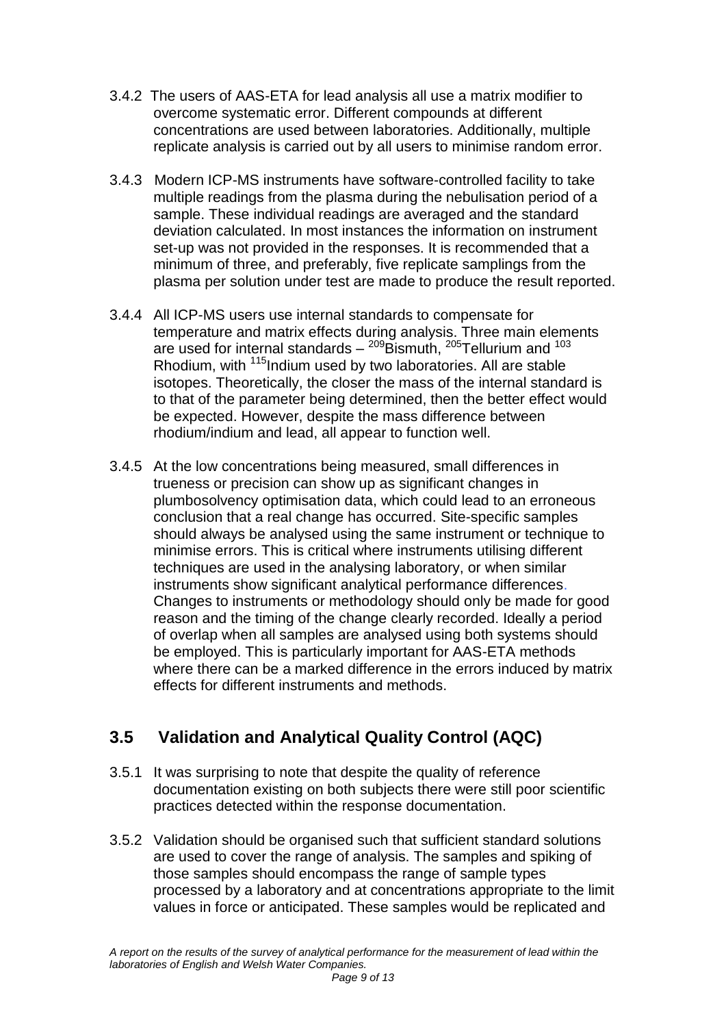- 3.4.2 The users of AAS-ETA for lead analysis all use a matrix modifier to overcome systematic error. Different compounds at different concentrations are used between laboratories. Additionally, multiple replicate analysis is carried out by all users to minimise random error.
- 3.4.3 Modern ICP-MS instruments have software-controlled facility to take multiple readings from the plasma during the nebulisation period of a sample. These individual readings are averaged and the standard deviation calculated. In most instances the information on instrument set-up was not provided in the responses. It is recommended that a minimum of three, and preferably, five replicate samplings from the plasma per solution under test are made to produce the result reported.
- 3.4.4 All ICP-MS users use internal standards to compensate for temperature and matrix effects during analysis. Three main elements are used for internal standards – <sup>209</sup>Bismuth, <sup>205</sup>Tellurium and <sup>103</sup> Rhodium, with <sup>115</sup>Indium used by two laboratories. All are stable isotopes. Theoretically, the closer the mass of the internal standard is to that of the parameter being determined, then the better effect would be expected. However, despite the mass difference between rhodium/indium and lead, all appear to function well.
- 3.4.5 At the low concentrations being measured, small differences in trueness or precision can show up as significant changes in plumbosolvency optimisation data, which could lead to an erroneous conclusion that a real change has occurred. Site-specific samples should always be analysed using the same instrument or technique to minimise errors. This is critical where instruments utilising different techniques are used in the analysing laboratory, or when similar instruments show significant analytical performance differences. Changes to instruments or methodology should only be made for good reason and the timing of the change clearly recorded. Ideally a period of overlap when all samples are analysed using both systems should be employed. This is particularly important for AAS-ETA methods where there can be a marked difference in the errors induced by matrix effects for different instruments and methods.

## **3.5 Validation and Analytical Quality Control (AQC)**

- 3.5.1 It was surprising to note that despite the quality of reference documentation existing on both subjects there were still poor scientific practices detected within the response documentation.
- 3.5.2 Validation should be organised such that sufficient standard solutions are used to cover the range of analysis. The samples and spiking of those samples should encompass the range of sample types processed by a laboratory and at concentrations appropriate to the limit values in force or anticipated. These samples would be replicated and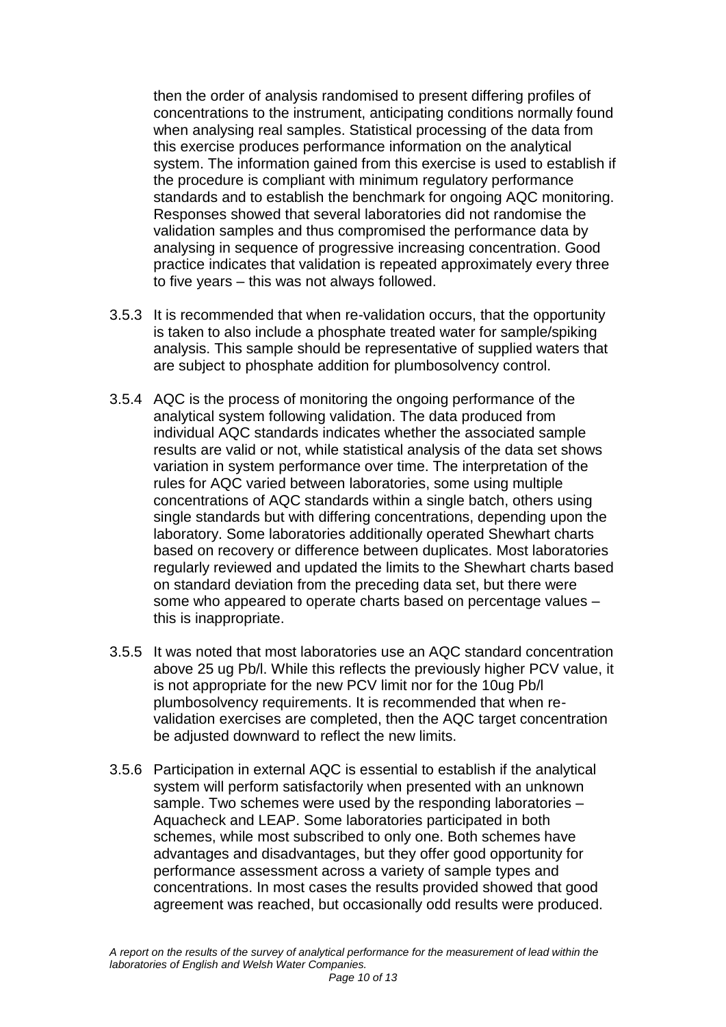then the order of analysis randomised to present differing profiles of concentrations to the instrument, anticipating conditions normally found when analysing real samples. Statistical processing of the data from this exercise produces performance information on the analytical system. The information gained from this exercise is used to establish if the procedure is compliant with minimum regulatory performance standards and to establish the benchmark for ongoing AQC monitoring. Responses showed that several laboratories did not randomise the validation samples and thus compromised the performance data by analysing in sequence of progressive increasing concentration. Good practice indicates that validation is repeated approximately every three to five years – this was not always followed.

- 3.5.3 It is recommended that when re-validation occurs, that the opportunity is taken to also include a phosphate treated water for sample/spiking analysis. This sample should be representative of supplied waters that are subject to phosphate addition for plumbosolvency control.
- 3.5.4 AQC is the process of monitoring the ongoing performance of the analytical system following validation. The data produced from individual AQC standards indicates whether the associated sample results are valid or not, while statistical analysis of the data set shows variation in system performance over time. The interpretation of the rules for AQC varied between laboratories, some using multiple concentrations of AQC standards within a single batch, others using single standards but with differing concentrations, depending upon the laboratory. Some laboratories additionally operated Shewhart charts based on recovery or difference between duplicates. Most laboratories regularly reviewed and updated the limits to the Shewhart charts based on standard deviation from the preceding data set, but there were some who appeared to operate charts based on percentage values – this is inappropriate.
- 3.5.5 It was noted that most laboratories use an AQC standard concentration above 25 ug Pb/l. While this reflects the previously higher PCV value, it is not appropriate for the new PCV limit nor for the 10ug Pb/l plumbosolvency requirements. It is recommended that when revalidation exercises are completed, then the AQC target concentration be adjusted downward to reflect the new limits.
- 3.5.6 Participation in external AQC is essential to establish if the analytical system will perform satisfactorily when presented with an unknown sample. Two schemes were used by the responding laboratories – Aquacheck and LEAP. Some laboratories participated in both schemes, while most subscribed to only one. Both schemes have advantages and disadvantages, but they offer good opportunity for performance assessment across a variety of sample types and concentrations. In most cases the results provided showed that good agreement was reached, but occasionally odd results were produced.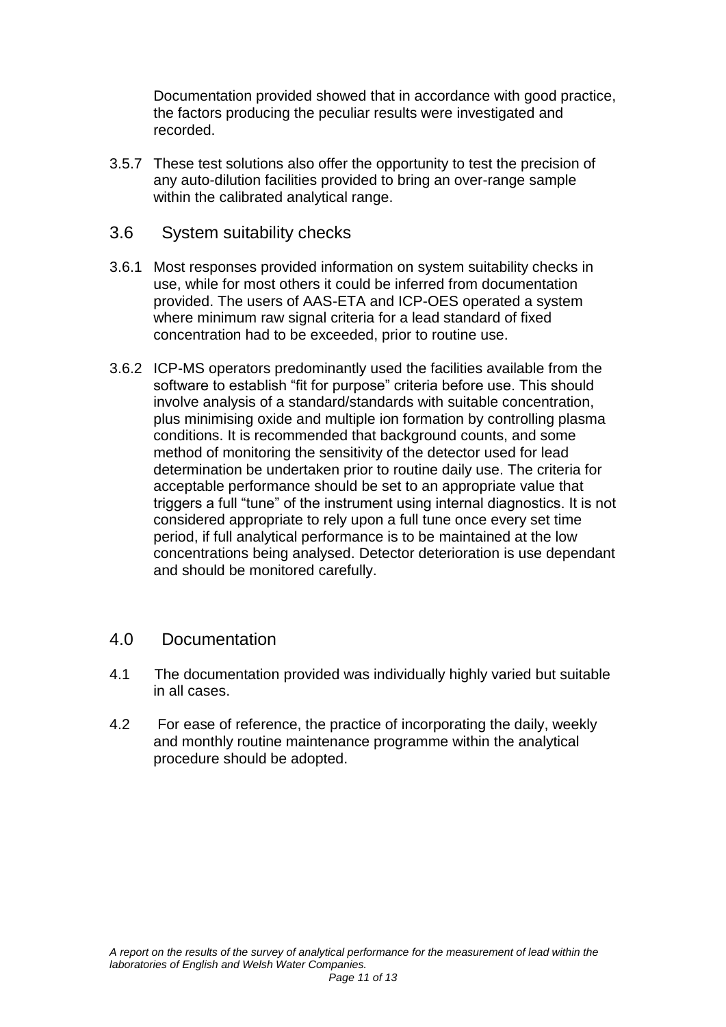Documentation provided showed that in accordance with good practice, the factors producing the peculiar results were investigated and recorded.

3.5.7 These test solutions also offer the opportunity to test the precision of any auto-dilution facilities provided to bring an over-range sample within the calibrated analytical range.

#### 3.6System suitability checks

- 3.6.1 Most responses provided information on system suitability checks in use, while for most others it could be inferred from documentation provided. The users of AAS-ETA and ICP-OES operated a system where minimum raw signal criteria for a lead standard of fixed concentration had to be exceeded, prior to routine use.
- 3.6.2 ICP-MS operators predominantly used the facilities available from the software to establish "fit for purpose" criteria before use. This should involve analysis of a standard/standards with suitable concentration, plus minimising oxide and multiple ion formation by controlling plasma conditions. It is recommended that background counts, and some method of monitoring the sensitivity of the detector used for lead determination be undertaken prior to routine daily use. The criteria for acceptable performance should be set to an appropriate value that triggers a full "tune" of the instrument using internal diagnostics. It is not considered appropriate to rely upon a full tune once every set time period, if full analytical performance is to be maintained at the low concentrations being analysed. Detector deterioration is use dependant and should be monitored carefully.

#### 4.0 Documentation

- 4.1 The documentation provided was individually highly varied but suitable in all cases.
- 4.2 For ease of reference, the practice of incorporating the daily, weekly and monthly routine maintenance programme within the analytical procedure should be adopted.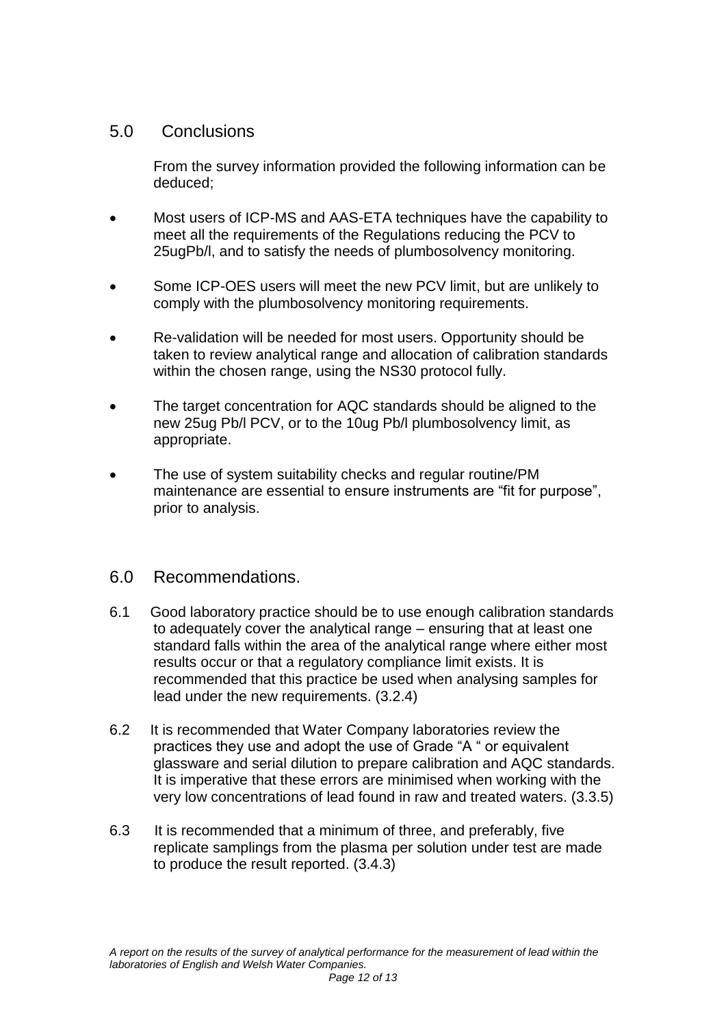### 5.0 Conclusions

From the survey information provided the following information can be deduced;

- Most users of ICP-MS and AAS-ETA techniques have the capability to meet all the requirements of the Regulations reducing the PCV to 25ugPb/l, and to satisfy the needs of plumbosolvency monitoring.
- Some ICP-OES users will meet the new PCV limit, but are unlikely to comply with the plumbosolvency monitoring requirements.
- Re-validation will be needed for most users. Opportunity should be taken to review analytical range and allocation of calibration standards within the chosen range, using the NS30 protocol fully.
- The target concentration for AQC standards should be aligned to the new 25ug Pb/l PCV, or to the 10ug Pb/l plumbosolvency limit, as appropriate.
- The use of system suitability checks and regular routine/PM maintenance are essential to ensure instruments are "fit for purpose", prior to analysis.

#### 6.0 Recommendations.

- 6.1 Good laboratory practice should be to use enough calibration standards to adequately cover the analytical range – ensuring that at least one standard falls within the area of the analytical range where either most results occur or that a regulatory compliance limit exists. It is recommended that this practice be used when analysing samples for lead under the new requirements. (3.2.4)
- 6.2 It is recommended that Water Company laboratories review the practices they use and adopt the use of Grade "A " or equivalent glassware and serial dilution to prepare calibration and AQC standards. It is imperative that these errors are minimised when working with the very low concentrations of lead found in raw and treated waters. (3.3.5)
- 6.3 It is recommended that a minimum of three, and preferably, five replicate samplings from the plasma per solution under test are made to produce the result reported. (3.4.3)